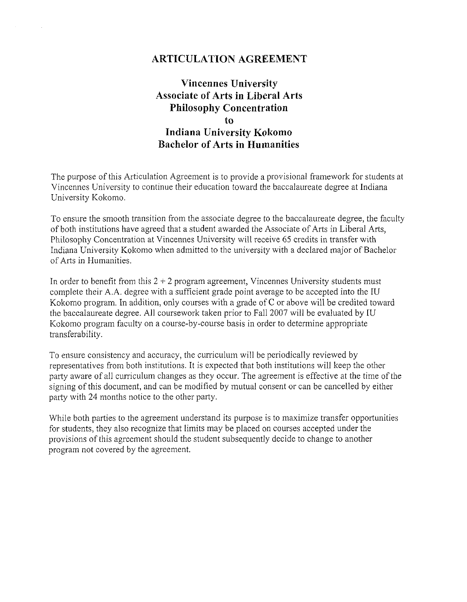## **ARTICULATION AGREEMENT**

# **Vincennes University Associate of Arts in Liberal Arts Philosophy Concentration to Indiana University Kokomo Bachelor of Arts in Humanities**

The purpose of this Articulation Agreement is to provide a provisional framework for students at Vincennes University to continue their education toward the baccalaureate degree at Indiana University Kokomo.

To ensure the smooth transition from the associate degree to the baccalaureate degree, the faculty of both institutions have agreed that a student awarded the Associate of Arts in Liberal Arts, Philosophy Concentration at Vincennes University will receive 65 credits in transfer with Indiana University Kokomo when admitted to the university with a declared major of Bachelor of Arts in Humanities.

In order to benefit from this  $2 + 2$  program agreement, Vincennes University students must complete their A.A. degree with a sufficient grade point average to be accepted into the IU Kokomo program. In addition, only courses with a grade of C or above will be credited toward the baccalaureate degree. All coursework taken prior to Fall 2007 will be evaluated by IU Kokomo program faculty on a course-by-course basis in order to determine appropriate transferability.

To ensure consistency and accuracy, the curriculum will be periodically reviewed by representatives from both institutions. It is expected that both institutions will keep the other party aware of all curriculum changes as they occur. The agreement is effective at the time of the signing of this document, and can be modified by mutual consent or can be cancelled by either party with 24 months notice to the other party.

While both parties to the agreement understand its purpose is to maximize transfer opportunities for students, they also recognize that limits may be placed on courses accepted under the provisions of this agreement should the student subsequently decide to change to another program not covered by the agreement.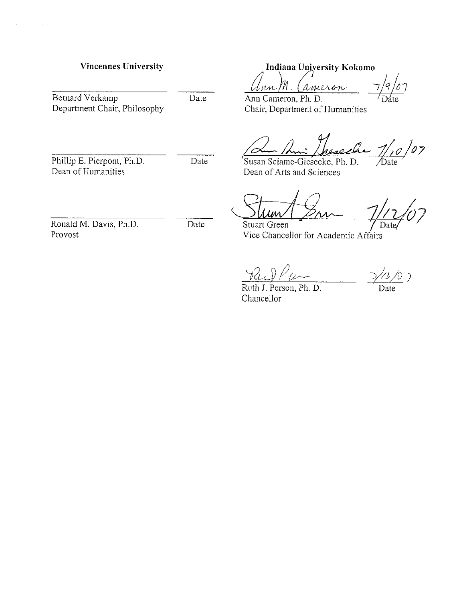Bernard Verkamp<br>Date Department Chair, Philosophy

Ronald M. Davis, Ph.D. Date Provost

**Vincennes University 1988 Indiana University Kokomo** 

Ann M. Cameron  $\sigma/$ 

Ann Cameron, Ph. D. Chair, Department of Humanities

 $1/10/07$ seche Date

Phillip E. Pierpont, Ph.D.<br>
Date Susan Sciame-Giesecke, Ph. D.<br>
Dean of Humanities Dean of Arts and Sciences Dean of Arts and Sciences

Date

**Stuart Green** Vice Chancellor for Academic Affairs

Ruth J. Person, Ph. D. Date Chancellor